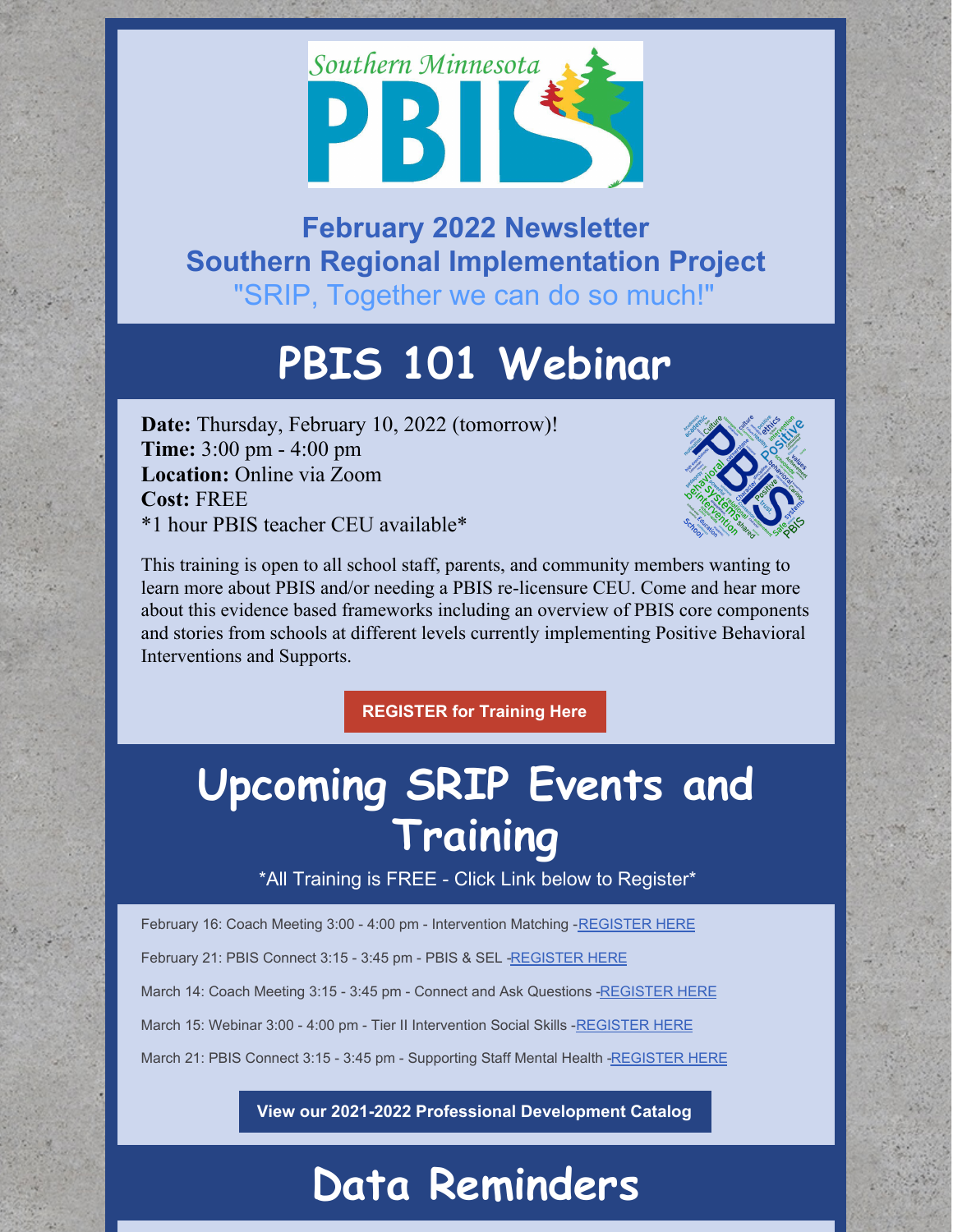

**February 2022 Newsletter Southern Regional Implementation Project** "SRIP, Together we can do so much!"

# **PBIS 101 Webinar**

**Date:** Thursday, February 10, 2022 (tomorrow)! **Time:** 3:00 pm - 4:00 pm **Location:** Online via Zoom **Cost:** FREE \*1 hour PBIS teacher CEU available\*



This training is open to all school staff, parents, and community members wanting to learn more about PBIS and/or needing a PBIS re-licensure CEU. Come and hear more about this evidence based frameworks including an overview of PBIS core components and stories from schools at different levels currently implementing Positive Behavioral Interventions and Supports.

**[REGISTER](https://www.zoomgov.com/webinar/register/WN_waMm0kN7RDC66PVMtMKFUw) for Training Here**

# **Upcoming SRIP Events and Training**

\*All Training is FREE - Click Link below to Register\*

February 16: Coach Meeting 3:00 - 4:00 pm - Intervention Matching -[REGISTER](https://socrates.zoom.us/meeting/register/tJMqc-qqqjkvHdOiL2FgaJRJzeeJL2s5KjLq) HERE

February 21: PBIS Connect 3:15 - 3:45 pm - PBIS & SEL [-REGISTER](https://socrates.zoom.us/meeting/register/tJUuc-6hrDIoE92Nlftb2OuJ9yWEUaPp6Hhj) HERE

March 14: Coach Meeting 3:15 - 3:45 pm - Connect and Ask Questions [-REGISTER](https://socrates.zoom.us/meeting/register/tJYqduuorDstE9bHMG2KbBadK7oWThxOR9zL) HERE

March 15: Webinar 3:00 - 4:00 pm - Tier II Intervention Social Skills [-REGISTER](https://socrates.zoom.us/meeting/register/tJEuf-6qqzMuGte_SXQD6Bq1QT7v8KuFciTs) HERE

March 21: PBIS Connect 3:15 - 3:45 pm - Supporting Staff Mental Health [-REGISTER](https://socrates.zoom.us/meeting/register/tJcpcuyprjIqG9b26-KpkZqHhsOdA3kBA4xS) HERE

**View our 2021-2022 Professional [Development](https://drive.google.com/file/d/1wqxM0Sfi7me_KC8agcFvTbBoq1ivgtyd/view?usp=sharing) Catalog**

# **Data Reminders**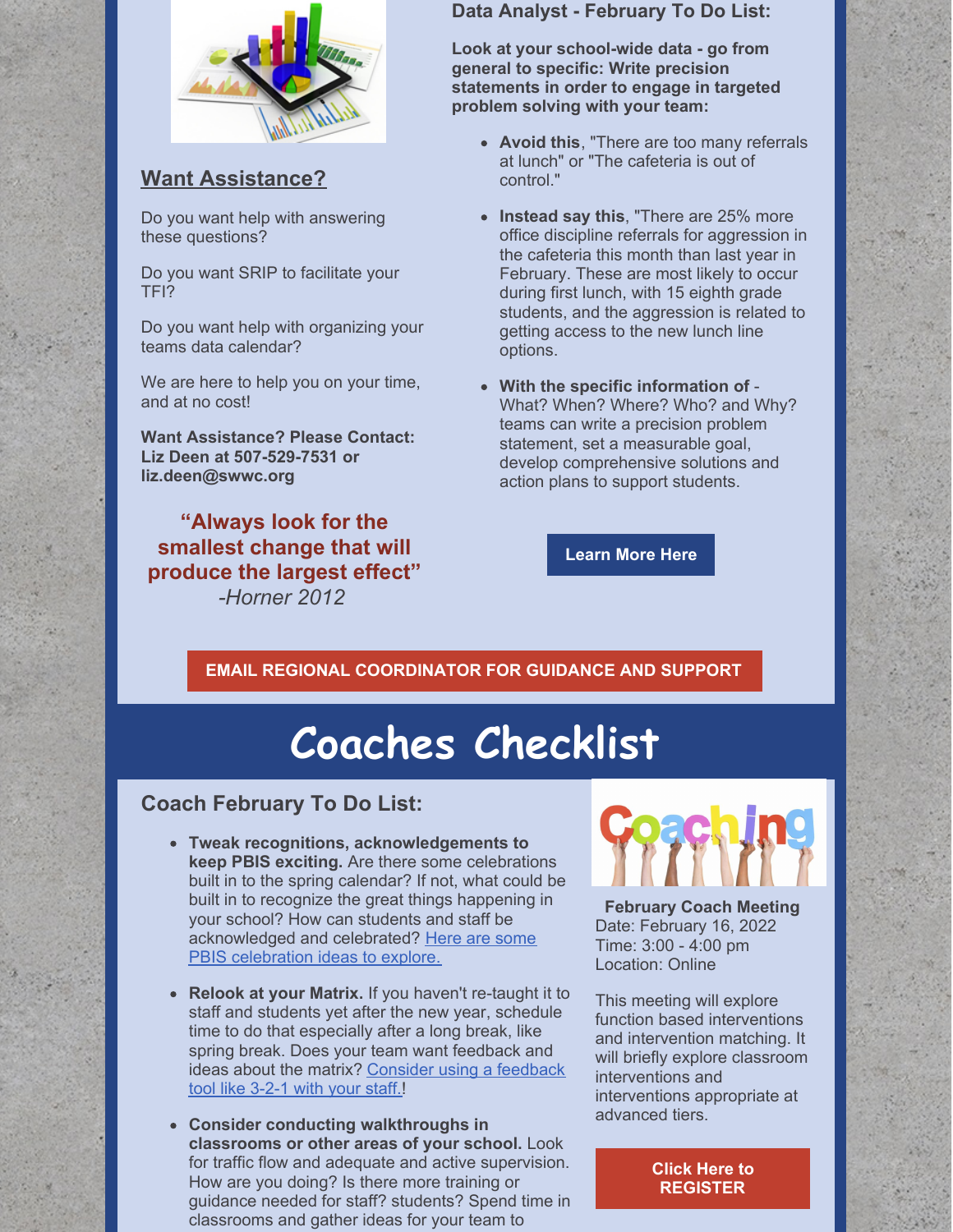

### **Want Assistance?**

Do you want help with answering these questions?

Do you want SRIP to facilitate your TFI?

Do you want help with organizing your teams data calendar?

We are here to help you on your time, and at no cost!

**Want Assistance? Please Contact: Liz Deen at 507-529-7531 or liz.deen@swwc.org**

**"Always look for the smallest change that will produce the largest effect"** *-Horner 2012*

#### **Data Analyst - February To Do List:**

**Look at your school-wide data - go from general to specific: Write precision statements in order to engage in targeted problem solving with your team:**

- **Avoid this**, "There are too many referrals at lunch" or "The cafeteria is out of control."
- **Instead say this**, "There are 25% more office discipline referrals for aggression in the cafeteria this month than last year in February. These are most likely to occur during first lunch, with 15 eighth grade students, and the aggression is related to getting access to the new lunch line options.
- **With the specific information of** What? When? Where? Who? and Why? teams can write a precision problem statement, set a measurable goal, develop comprehensive solutions and action plans to support students.

**[Learn](https://pbismn.org/school-teams/problem-solving.php#:~:text=Precision problem%2Dsolving is the,deep into your PBIS data.&text=Precision data also helps us,that needs to be solved.) More Here**

### **EMAIL REGIONAL [COORDINATOR](mailto:liz.deen@swwc.org) FOR GUIDANCE AND SUPPORT**

# **Coaches Checklist**

### **Coach February To Do List:**

- **Tweak recognitions, acknowledgements to keep PBIS exciting.** Are there some celebrations built in to the spring calendar? If not, what could be built in to recognize the great things happening in your school? How can students and staff be [acknowledged](https://www.classcraft.com/blog/pbis-celebration-ideas/) and celebrated? Here are some PBIS celebration ideas to explore.
- **Relook at your Matrix.** If you haven't re-taught it to staff and students yet after the new year, schedule time to do that especially after a long break, like spring break. Does your team want feedback and ideas about the matrix? Consider using a [feedback](https://docs.google.com/document/d/1gNnMJFllWviCtz4dIvE1oixBwCQW05JYdsHc-hpFCkg/edit?usp=sharing) tool like 3-2-1 with your staff.!
- **Consider conducting walkthroughs in classrooms or other areas of your school.** Look for traffic flow and adequate and active supervision. How are you doing? Is there more training or guidance needed for staff? students? Spend time in classrooms and gather ideas for your team to



**February Coach Meeting** Date: February 16, 2022 Time: 3:00 - 4:00 pm Location: Online

This meeting will explore function based interventions and intervention matching. It will briefly explore classroom interventions and interventions appropriate at advanced tiers.

> **Click Here to [REGISTER](https://socrates.zoom.us/meeting/register/tJMqc-qqqjkvHdOiL2FgaJRJzeeJL2s5KjLq)**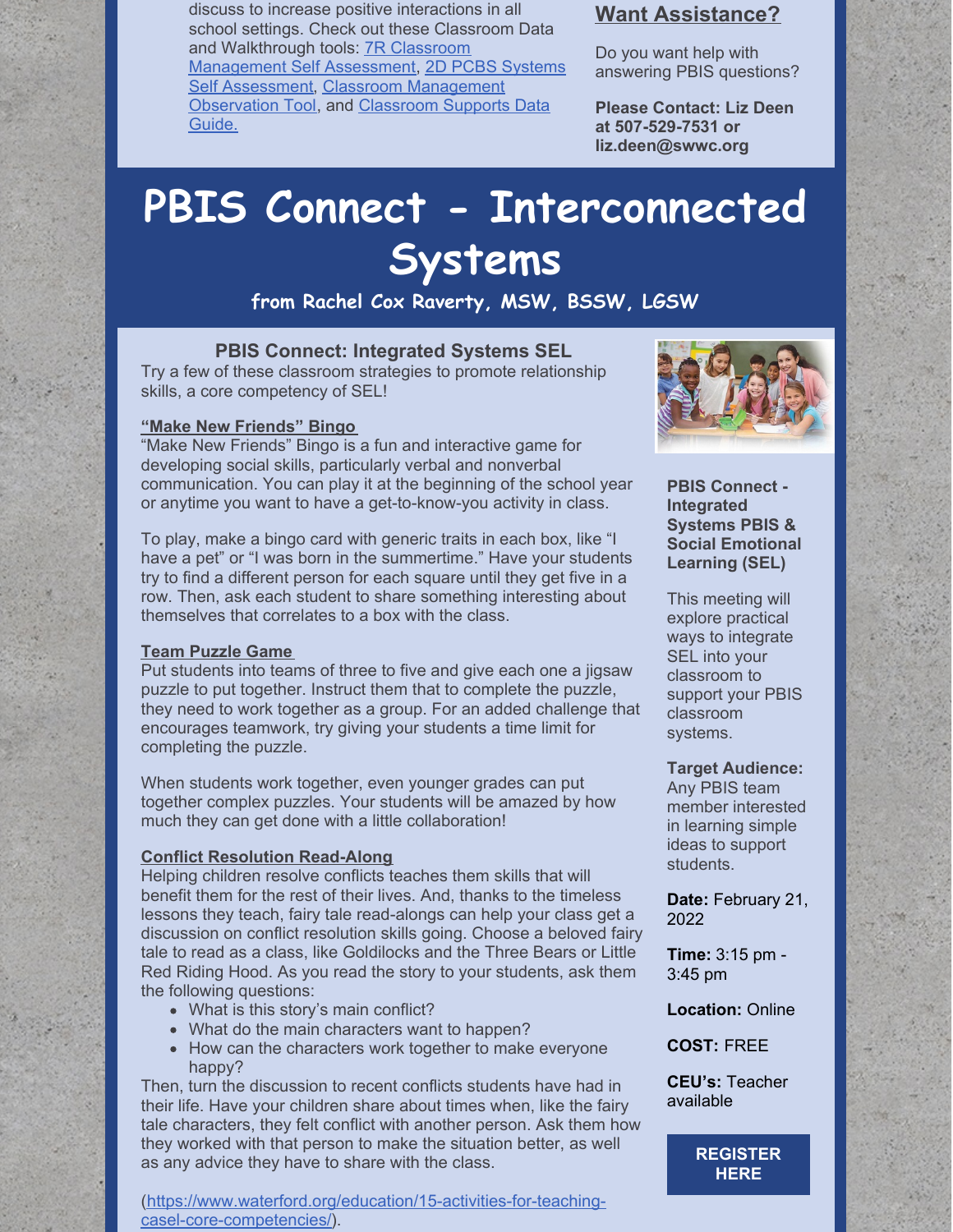discuss to increase positive interactions in all school settings. Check out these Classroom Data and [Walkthrough](https://nepbis.org/wp-content/uploads/2018/06/7r_classroom_management_selfassessment.pdf) tools: 7R Classroom [Management](https://nepbis.org/wp-content/uploads/2018/11/2d.-PCBS-Systems-Self-Assessment_0.docx) Self Assessment, 2D PCBS Systems Self Assessment, Classroom [Management](https://nepbis.org/wp-content/uploads/2020/06/CMOT-5.1.20.pdf) [Observation](https://www.pbis.org/resource/pbis-technical-guide-on-classroom-data) Tool, and Classroom Supports Data Guide.

### **Want Assistance?**

Do you want help with answering PBIS questions?

**Please Contact: Liz Deen at 507-529-7531 or liz.deen@swwc.org**

# **PBIS Connect - Interconnected Systems**

**from Rachel Cox Raverty, MSW, BSSW, LGSW**

#### **PBIS Connect: Integrated Systems SEL**

Try a few of these classroom strategies to promote relationship skills, a core competency of SEL!

#### **"Make New Friends" Bingo**

"Make New Friends" Bingo is a fun and interactive game for developing social skills, particularly verbal and nonverbal communication. You can play it at the beginning of the school year or anytime you want to have a get-to-know-you activity in class.

To play, make a bingo card with generic traits in each box, like "I have a pet" or "I was born in the summertime." Have your students try to find a different person for each square until they get five in a row. Then, ask each student to share something interesting about themselves that correlates to a box with the class.

#### **Team Puzzle Game**

Put students into teams of three to five and give each one a jigsaw puzzle to put together. Instruct them that to complete the puzzle, they need to work together as a group. For an added challenge that encourages teamwork, try giving your students a time limit for completing the puzzle.

When students work together, even younger grades can put together complex puzzles. Your students will be amazed by how much they can get done with a little collaboration!

#### **Conflict Resolution Read-Along**

Helping children resolve conflicts teaches them skills that will benefit them for the rest of their lives. And, thanks to the timeless lessons they teach, fairy tale read-alongs can help your class get a discussion on conflict resolution skills going. Choose a beloved fairy tale to read as a class, like Goldilocks and the Three Bears or Little Red Riding Hood. As you read the story to your students, ask them the following questions:

- What is this story's main conflict?
- What do the main characters want to happen?
- How can the characters work together to make everyone happy?

Then, turn the discussion to recent conflicts students have had in their life. Have your children share about times when, like the fairy tale characters, they felt conflict with another person. Ask them how they worked with that person to make the situation better, as well as any advice they have to share with the class.

[\(https://www.waterford.org/education/15-activities-for-teaching](https://www.waterford.org/education/15-activities-for-teaching-casel-core-competencies/)casel-core-competencies/).



#### **PBIS Connect - Integrated Systems PBIS & Social Emotional Learning (SEL)**

This meeting will explore practical ways to integrate SEL into your classroom to support your PBIS classroom systems.

#### **Target Audience:**

Any PBIS team member interested in learning simple ideas to support students.

**Date:** February 21, 2022

**Time:** 3:15 pm - 3:45 pm

**Location:** Online

#### **COST:** FREE

**CEU's:** Teacher available

> **[REGISTER](https://socrates.zoom.us/meeting/register/tJUuc-6hrDIoE92Nlftb2OuJ9yWEUaPp6Hhj) HERE**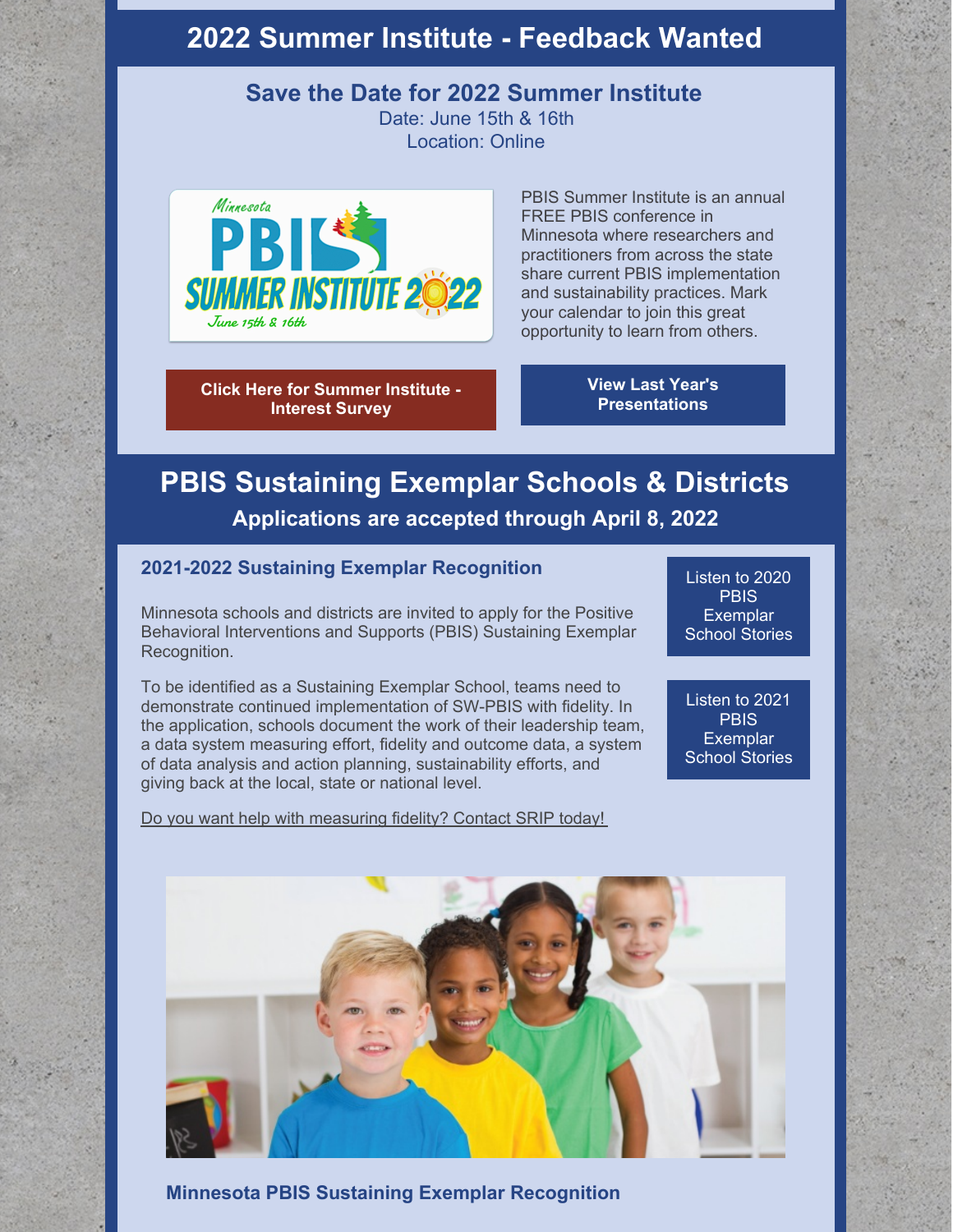## **2022 Summer Institute - Feedback Wanted**

## **Save the Date for 2022 Summer Institute**

Date: June 15th & 16th Location: Online



PBIS Summer Institute is an annual FREE PBIS conference in Minnesota where researchers and practitioners from across the state share current PBIS implementation and sustainability practices. Mark your calendar to join this great opportunity to learn from others.

**Click Here for [Summer](https://survey.alchemer.com/s3/6662591/2022-PBIS-Virtual-Summer-Institute-Interest-Survey) Institute - Interest Survey**

**View Last Year's [Presentations](https://pbismn.org/summer-institute/)**

## **PBIS Sustaining Exemplar Schools & Districts Applications are accepted through April 8, 2022**

#### **2021-2022 Sustaining Exemplar Recognition**

Minnesota schools and districts are invited to apply for the Positive Behavioral Interventions and Supports (PBIS) Sustaining Exemplar Recognition.

To be identified as a Sustaining Exemplar School, teams need to demonstrate continued implementation of SW-PBIS with fidelity. In the application, schools document the work of their leadership team, a data system measuring effort, fidelity and outcome data, a system of data analysis and action planning, sustainability efforts, and giving back at the local, state or national level.

Listen to 2020 PBIS **[Exemplar](https://flipgrid.com/27912724)** School Stories

Listen to 2021 PBIS **[Exemplar](https://flipgrid.com/85b82b1e)** School Stories

Do you want help with measuring fidelity? Contact SRIP today!



**Minnesota PBIS Sustaining Exemplar Recognition**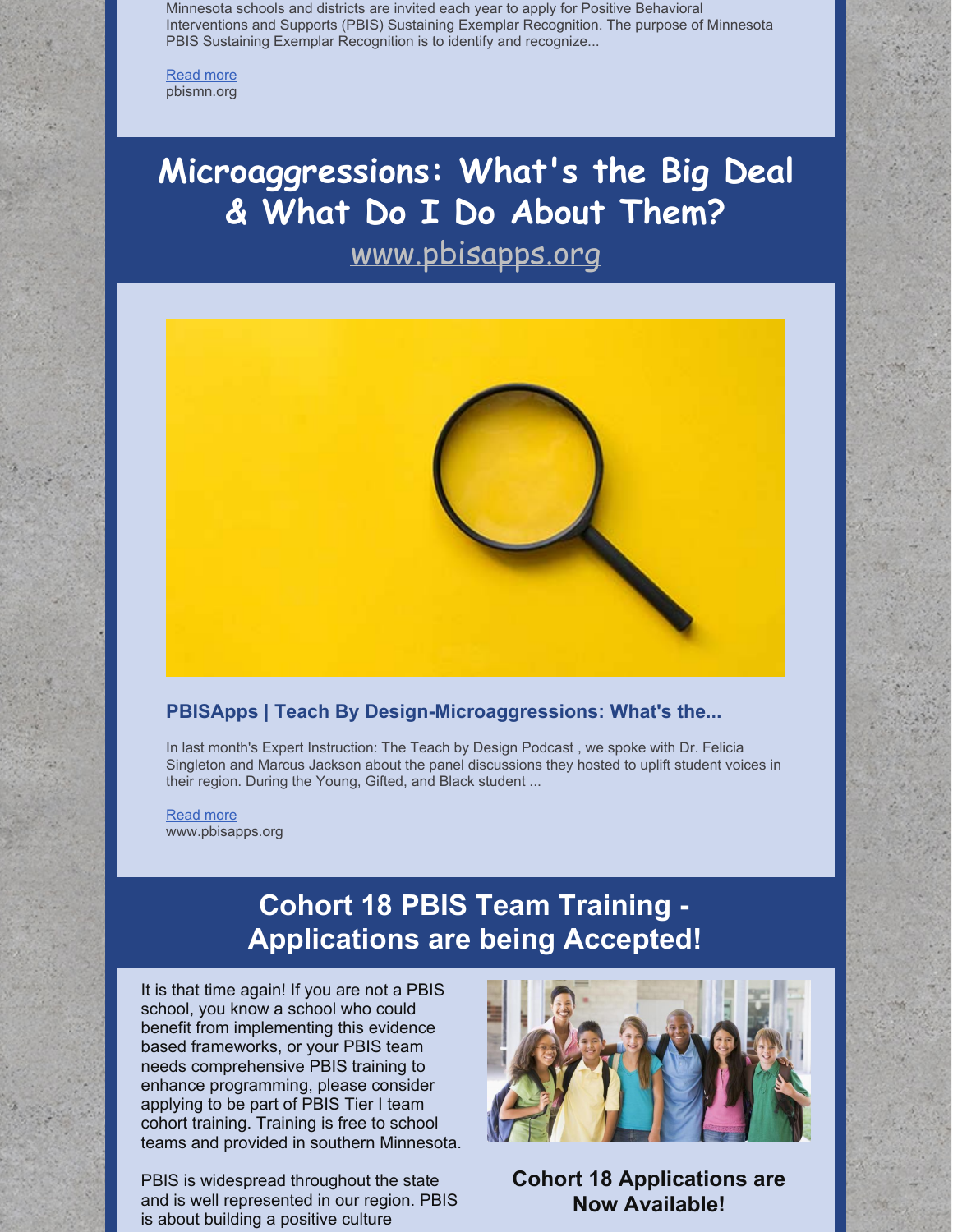Minnesota schools and districts are invited each year to apply for Positive Behavioral Interventions and Supports (PBIS) Sustaining Exemplar Recognition. The purpose of Minnesota PBIS Sustaining Exemplar Recognition is to identify and recognize...

[Read](http://pbismn.org/statewide/sustaining-exemplar-schools.php) more pbismn.org

# **Microaggressions: What's the Big Deal & What Do I Do About Them?** [www.pbisapps.org](http://www.pbisapps.org)



### **PBISApps | Teach By Design-Microaggressions: What's the...**

In last month's Expert Instruction: The Teach by Design Podcast , we spoke with Dr. Felicia Singleton and Marcus Jackson about the panel discussions they hosted to uplift student voices in their region. During the Young, Gifted, and Black student ...

[Read](https://www.pbisapps.org/articles/microaggressions-whats-the-big-deal-and-what-do-i-do-about-them) more www.pbisapps.org

## **Cohort 18 PBIS Team Training - Applications are being Accepted!**

It is that time again! If you are not a PBIS school, you know a school who could benefit from implementing this evidence based frameworks, or your PBIS team needs comprehensive PBIS training to enhance programming, please consider applying to be part of PBIS Tier I team cohort training. Training is free to school teams and provided in southern Minnesota.

PBIS is widespread throughout the state and is well represented in our region. PBIS is about building a positive culture



**Cohort 18 Applications are Now Available!**